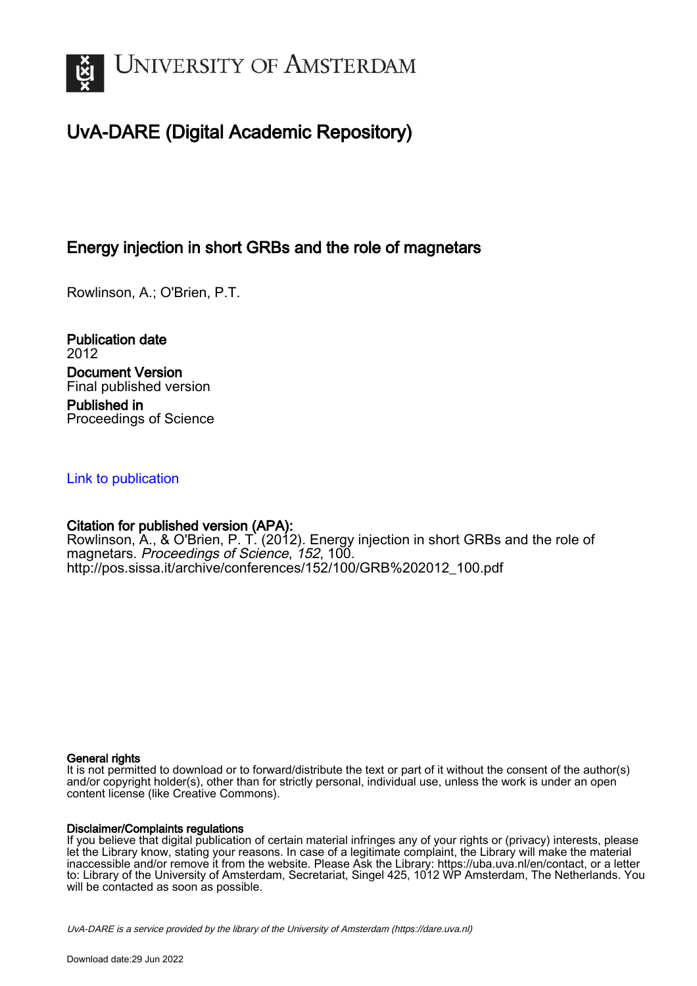

# UvA-DARE (Digital Academic Repository)

## Energy injection in short GRBs and the role of magnetars

Rowlinson, A.; O'Brien, P.T.

Publication date 2012 Document Version Final published version Published in Proceedings of Science

## [Link to publication](https://dare.uva.nl/personal/pure/en/publications/energy-injection-in-short-grbs-and-the-role-of-magnetars(f2b13a42-928c-4de9-92d7-6af3e2f1356b).html)

## Citation for published version (APA):

Rowlinson, A., & O'Brien, P. T. (2012). Energy injection in short GRBs and the role of magnetars. Proceedings of Science, 152, 100. [http://pos.sissa.it/archive/conferences/152/100/GRB%202012\\_100.pdf](http://pos.sissa.it/archive/conferences/152/100/GRB%202012_100.pdf)

#### General rights

It is not permitted to download or to forward/distribute the text or part of it without the consent of the author(s) and/or copyright holder(s), other than for strictly personal, individual use, unless the work is under an open content license (like Creative Commons).

#### Disclaimer/Complaints regulations

If you believe that digital publication of certain material infringes any of your rights or (privacy) interests, please let the Library know, stating your reasons. In case of a legitimate complaint, the Library will make the material inaccessible and/or remove it from the website. Please Ask the Library: https://uba.uva.nl/en/contact, or a letter to: Library of the University of Amsterdam, Secretariat, Singel 425, 1012 WP Amsterdam, The Netherlands. You will be contacted as soon as possible.

UvA-DARE is a service provided by the library of the University of Amsterdam (http*s*://dare.uva.nl)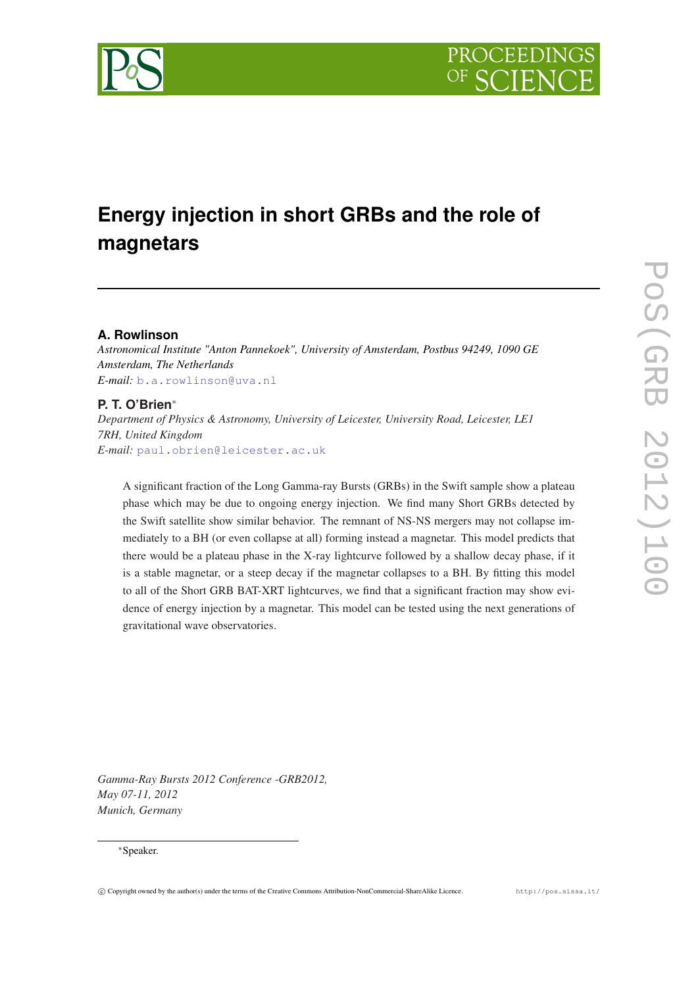

# **Energy injection in short GRBs and the role of magnetars**

## **A. Rowlinson**

*Astronomical Institute "Anton Pannekoek", University of Amsterdam, Postbus 94249, 1090 GE Amsterdam, The Netherlands E-mail:* [b.a.rowlinson@uva.nl](mailto:b.a.rowlinson@uva.nl)

## **P. T. O'Brien**<sup>∗</sup>

*Department of Physics & Astronomy, University of Leicester, University Road, Leicester, LE1 7RH, United Kingdom E-mail:* [paul.obrien@leicester.ac.uk](mailto:paul.obrien@leicester.ac.uk)

A significant fraction of the Long Gamma-ray Bursts (GRBs) in the Swift sample show a plateau phase which may be due to ongoing energy injection. We find many Short GRBs detected by the Swift satellite show similar behavior. The remnant of NS-NS mergers may not collapse immediately to a BH (or even collapse at all) forming instead a magnetar. This model predicts that there would be a plateau phase in the X-ray lightcurve followed by a shallow decay phase, if it is a stable magnetar, or a steep decay if the magnetar collapses to a BH. By fitting this model to all of the Short GRB BAT-XRT lightcurves, we find that a significant fraction may show evidence of energy injection by a magnetar. This model can be tested using the next generations of gravitational wave observatories.

*Gamma-Ray Bursts 2012 Conference -GRB2012, May 07-11, 2012 Munich, Germany*

#### <sup>∗</sup>Speaker.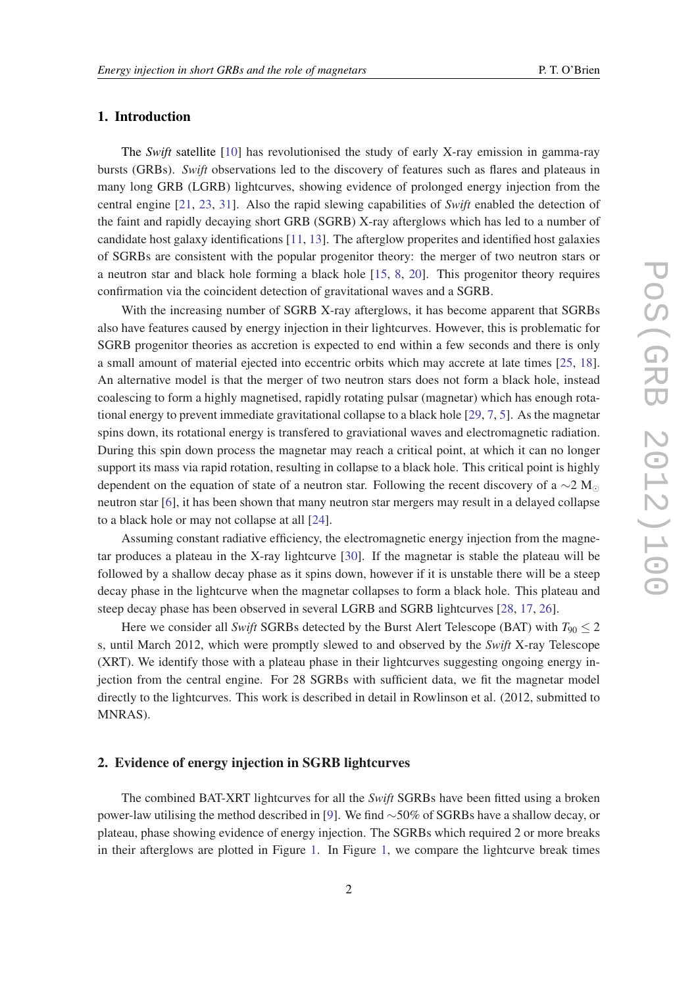## 1. Introduction

The *Swift* satellite [[10\]](#page-6-0) has revolutionised the study of early X-ray emission in gamma-ray bursts (GRBs). *Swift* observations led to the discovery of features such as flares and plateaus in many long GRB (LGRB) lightcurves, showing evidence of prolonged energy injection from the central engine [[21,](#page-6-0) [23,](#page-6-0) [31\]](#page-7-0). Also the rapid slewing capabilities of *Swift* enabled the detection of the faint and rapidly decaying short GRB (SGRB) X-ray afterglows which has led to a number of candidate host galaxy identifications [[11,](#page-6-0) [13\]](#page-6-0). The afterglow properites and identified host galaxies of SGRBs are consistent with the popular progenitor theory: the merger of two neutron stars or a neutron star and black hole forming a black hole [\[15](#page-6-0), [8](#page-6-0), [20\]](#page-6-0). This progenitor theory requires confirmation via the coincident detection of gravitational waves and a SGRB.

With the increasing number of SGRB X-ray afterglows, it has become apparent that SGRBs also have features caused by energy injection in their lightcurves. However, this is problematic for SGRB progenitor theories as accretion is expected to end within a few seconds and there is only a small amount of material ejected into eccentric orbits which may accrete at late times [[25,](#page-6-0) [18\]](#page-6-0). An alternative model is that the merger of two neutron stars does not form a black hole, instead coalescing to form a highly magnetised, rapidly rotating pulsar (magnetar) which has enough rotational energy to prevent immediate gravitational collapse to a black hole [[29,](#page-7-0) [7](#page-5-0), [5\]](#page-5-0). As the magnetar spins down, its rotational energy is transfered to graviational waves and electromagnetic radiation. During this spin down process the magnetar may reach a critical point, at which it can no longer support its mass via rapid rotation, resulting in collapse to a black hole. This critical point is highly dependent on the equation of state of a neutron star. Following the recent discovery of a ∼2 M neutron star [\[6\]](#page-5-0), it has been shown that many neutron star mergers may result in a delayed collapse to a black hole or may not collapse at all [\[24](#page-6-0)].

Assuming constant radiative efficiency, the electromagnetic energy injection from the magnetar produces a plateau in the X-ray lightcurve [\[30](#page-7-0)]. If the magnetar is stable the plateau will be followed by a shallow decay phase as it spins down, however if it is unstable there will be a steep decay phase in the lightcurve when the magnetar collapses to form a black hole. This plateau and steep decay phase has been observed in several LGRB and SGRB lightcurves [\[28](#page-7-0), [17,](#page-6-0) [26\]](#page-6-0).

Here we consider all *Swift* SGRBs detected by the Burst Alert Telescope (BAT) with  $T_{90} \leq 2$ s, until March 2012, which were promptly slewed to and observed by the *Swift* X-ray Telescope (XRT). We identify those with a plateau phase in their lightcurves suggesting ongoing energy injection from the central engine. For 28 SGRBs with sufficient data, we fit the magnetar model directly to the lightcurves. This work is described in detail in Rowlinson et al. (2012, submitted to MNRAS).

### 2. Evidence of energy injection in SGRB lightcurves

The combined BAT-XRT lightcurves for all the *Swift* SGRBs have been fitted using a broken power-law utilising the method described in [\[9](#page-6-0)]. We find ∼50% of SGRBs have a shallow decay, or plateau, phase showing evidence of energy injection. The SGRBs which required 2 or more breaks in their afterglows are plotted in Figure [1](#page-3-0). In Figure [1](#page-3-0), we compare the lightcurve break times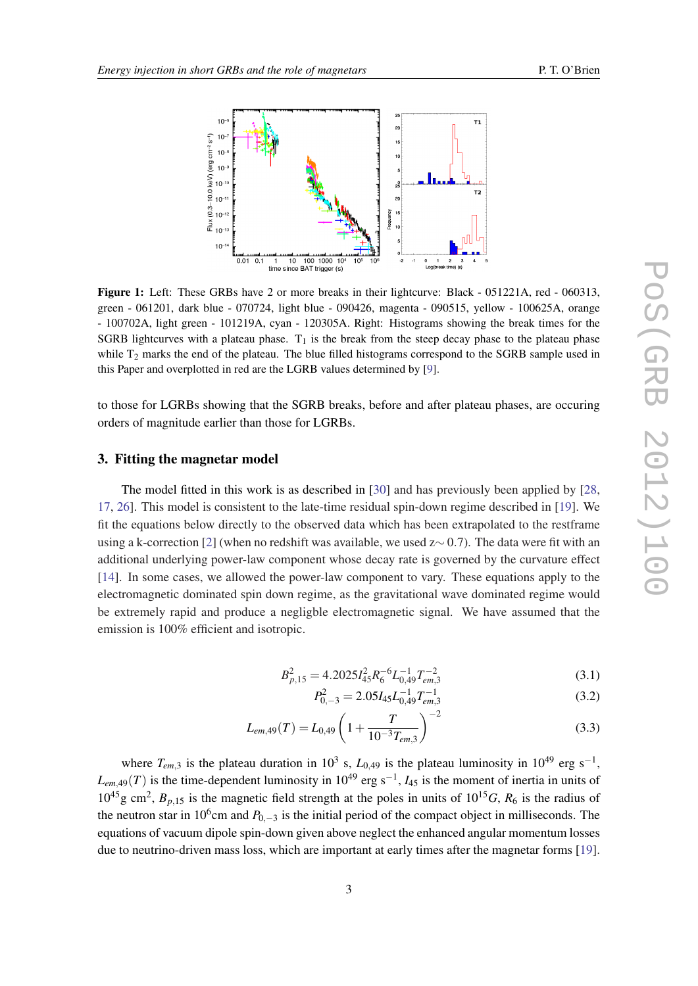<span id="page-3-0"></span>

Figure 1: Left: These GRBs have 2 or more breaks in their lightcurve: Black - 051221A, red - 060313, green - 061201, dark blue - 070724, light blue - 090426, magenta - 090515, yellow - 100625A, orange - 100702A, light green - 101219A, cyan - 120305A. Right: Histograms showing the break times for the SGRB lightcurves with a plateau phase.  $T_1$  is the break from the steep decay phase to the plateau phase while  $T_2$  marks the end of the plateau. The blue filled histograms correspond to the SGRB sample used in this Paper and overplotted in red are the LGRB values determined by [\[9](#page-6-0)].

to those for LGRBs showing that the SGRB breaks, before and after plateau phases, are occuring orders of magnitude earlier than those for LGRBs.

#### 3. Fitting the magnetar model

The model fitted in this work is as described in [\[30](#page-7-0)] and has previously been applied by [\[28](#page-7-0), [17](#page-6-0), [26\]](#page-6-0). This model is consistent to the late-time residual spin-down regime described in [[19\]](#page-6-0). We fit the equations below directly to the observed data which has been extrapolated to the restframe using a k-correction [[2](#page-5-0)] (when no redshift was available, we used z∼ 0.7). The data were fit with an additional underlying power-law component whose decay rate is governed by the curvature effect [[14\]](#page-6-0). In some cases, we allowed the power-law component to vary. These equations apply to the electromagnetic dominated spin down regime, as the gravitational wave dominated regime would be extremely rapid and produce a negligble electromagnetic signal. We have assumed that the emission is 100% efficient and isotropic.

$$
B_{p,15}^2 = 4.2025 I_{45}^2 R_6^{-6} L_{0,49}^{-1} T_{em,3}^{-2}
$$
\n(3.1)

 $P_{0,-3}^2 = 2.05 I_{45} L_{0,49}^{-1} T_{em,3}^{-1}$ (3.2)

$$
L_{em,49}(T) = L_{0,49} \left( 1 + \frac{T}{10^{-3} T_{em,3}} \right)^{-2}
$$
 (3.3)

where  $T_{em,3}$  is the plateau duration in 10<sup>3</sup> s,  $L_{0,49}$  is the plateau luminosity in 10<sup>49</sup> erg s<sup>-1</sup>,  $L_{em,49}(T)$  is the time-dependent luminosity in 10<sup>49</sup> erg s<sup>-1</sup>,  $I_{45}$  is the moment of inertia in units of  $10^{45}$ g cm<sup>2</sup>,  $B_{p,15}$  is the magnetic field strength at the poles in units of  $10^{15}$ *G*,  $R_6$  is the radius of the neutron star in 10<sup>6</sup>cm and  $P_{0,-3}$  is the initial period of the compact object in milliseconds. The equations of vacuum dipole spin-down given above neglect the enhanced angular momentum losses due to neutrino-driven mass loss, which are important at early times after the magnetar forms [[19\]](#page-6-0).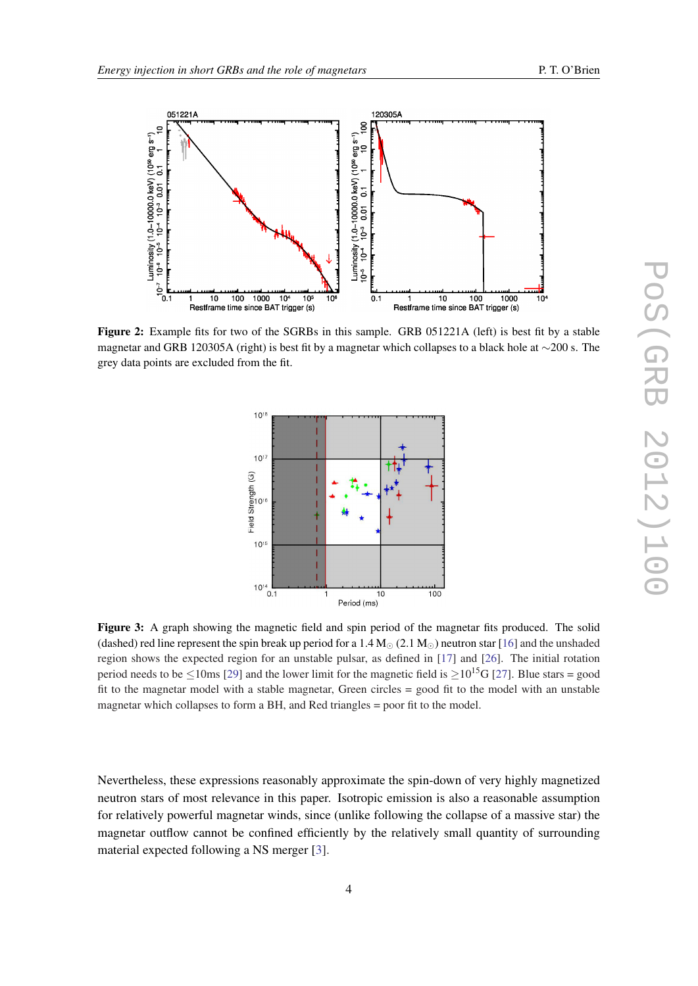<span id="page-4-0"></span>

Figure 2: Example fits for two of the SGRBs in this sample. GRB 051221A (left) is best fit by a stable magnetar and GRB 120305A (right) is best fit by a magnetar which collapses to a black hole at ∼200 s. The grey data points are excluded from the fit.



Figure 3: A graph showing the magnetic field and spin period of the magnetar fits produced. The solid (dashed) red line represent the spin break up period for a 1.4  $M_{\odot}$  (2.1  $M_{\odot}$ ) neutron star [\[16](#page-6-0)] and the unshaded region shows the expected region for an unstable pulsar, as defined in [\[17](#page-6-0)] and [[26\]](#page-6-0). The initial rotation period needs to be  $\leq 10$ ms [[29\]](#page-7-0) and the lower limit for the magnetic field is  $> 10^{15}$ G [[27\]](#page-6-0). Blue stars = good fit to the magnetar model with a stable magnetar, Green circles = good fit to the model with an unstable magnetar which collapses to form a BH, and Red triangles = poor fit to the model.

Nevertheless, these expressions reasonably approximate the spin-down of very highly magnetized neutron stars of most relevance in this paper. Isotropic emission is also a reasonable assumption for relatively powerful magnetar winds, since (unlike following the collapse of a massive star) the magnetar outflow cannot be confined efficiently by the relatively small quantity of surrounding material expected following a NS merger [\[3\]](#page-5-0).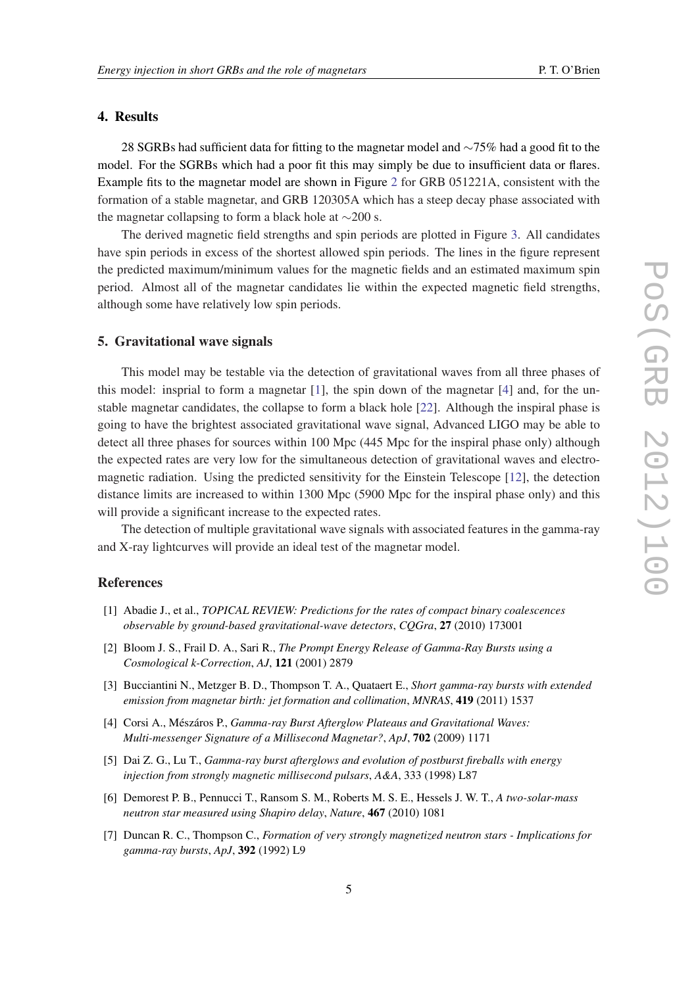#### <span id="page-5-0"></span>4. Results

28 SGRBs had sufficient data for fitting to the magnetar model and ∼75% had a good fit to the model. For the SGRBs which had a poor fit this may simply be due to insufficient data or flares. Example fits to the magnetar model are shown in Figure [2](#page-4-0) for GRB 051221A, consistent with the formation of a stable magnetar, and GRB 120305A which has a steep decay phase associated with the magnetar collapsing to form a black hole at ∼200 s.

The derived magnetic field strengths and spin periods are plotted in Figure [3](#page-4-0). All candidates have spin periods in excess of the shortest allowed spin periods. The lines in the figure represent the predicted maximum/minimum values for the magnetic fields and an estimated maximum spin period. Almost all of the magnetar candidates lie within the expected magnetic field strengths, although some have relatively low spin periods.

#### 5. Gravitational wave signals

This model may be testable via the detection of gravitational waves from all three phases of this model: insprial to form a magnetar  $[1]$ , the spin down of the magnetar  $[4]$  and, for the unstable magnetar candidates, the collapse to form a black hole [[22\]](#page-6-0). Although the inspiral phase is going to have the brightest associated gravitational wave signal, Advanced LIGO may be able to detect all three phases for sources within 100 Mpc (445 Mpc for the inspiral phase only) although the expected rates are very low for the simultaneous detection of gravitational waves and electromagnetic radiation. Using the predicted sensitivity for the Einstein Telescope [\[12](#page-6-0)], the detection distance limits are increased to within 1300 Mpc (5900 Mpc for the inspiral phase only) and this will provide a significant increase to the expected rates.

The detection of multiple gravitational wave signals with associated features in the gamma-ray and X-ray lightcurves will provide an ideal test of the magnetar model.

## References

- [1] Abadie J., et al., *TOPICAL REVIEW: Predictions for the rates of compact binary coalescences observable by ground-based gravitational-wave detectors*, *CQGra*, 27 (2010) 173001
- [2] Bloom J. S., Frail D. A., Sari R., *The Prompt Energy Release of Gamma-Ray Bursts using a Cosmological k-Correction*, *AJ*, 121 (2001) 2879
- [3] Bucciantini N., Metzger B. D., Thompson T. A., Quataert E., *Short gamma-ray bursts with extended emission from magnetar birth: jet formation and collimation*, *MNRAS*, 419 (2011) 1537
- [4] Corsi A., Mészáros P., *Gamma-ray Burst Afterglow Plateaus and Gravitational Waves: Multi-messenger Signature of a Millisecond Magnetar?*, *ApJ*, 702 (2009) 1171
- [5] Dai Z. G., Lu T., *Gamma-ray burst afterglows and evolution of postburst fireballs with energy injection from strongly magnetic millisecond pulsars*, *A&A*, 333 (1998) L87
- [6] Demorest P. B., Pennucci T., Ransom S. M., Roberts M. S. E., Hessels J. W. T., *A two-solar-mass neutron star measured using Shapiro delay*, *Nature*, 467 (2010) 1081
- [7] Duncan R. C., Thompson C., *Formation of very strongly magnetized neutron stars Implications for gamma-ray bursts*, *ApJ*, 392 (1992) L9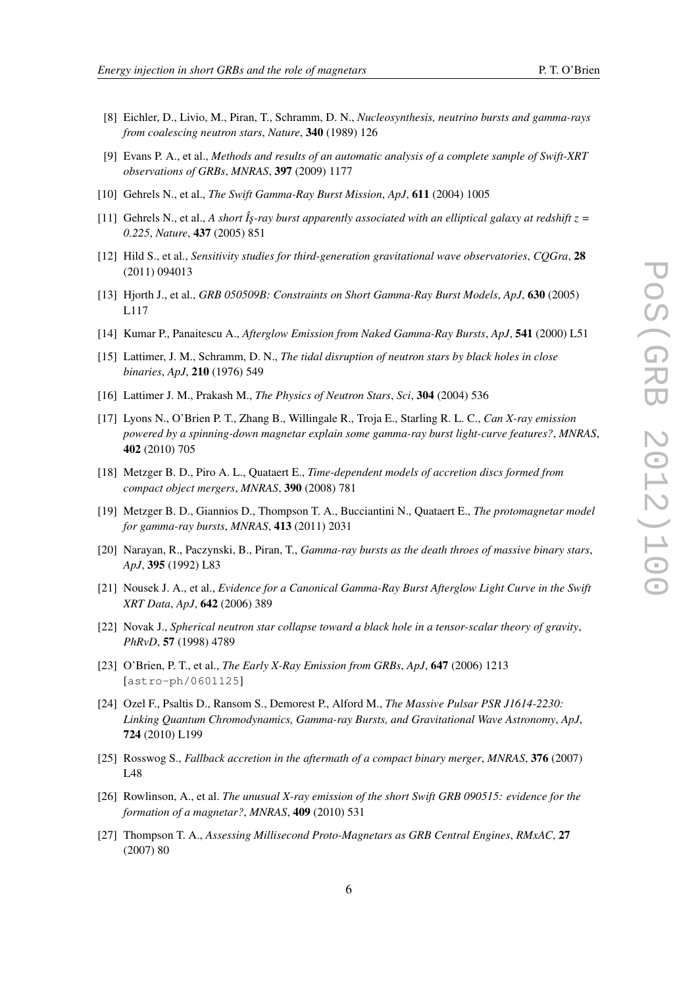- 
- <span id="page-6-0"></span>[8] Eichler, D., Livio, M., Piran, T., Schramm, D. N., *Nucleosynthesis, neutrino bursts and gamma-rays from coalescing neutron stars*, *Nature*, 340 (1989) 126
- [9] Evans P. A., et al., *Methods and results of an automatic analysis of a complete sample of Swift-XRT observations of GRBs*, *MNRAS*, 397 (2009) 1177
- [10] Gehrels N., et al., *The Swift Gamma-Ray Burst Mission*, *ApJ*, 611 (2004) 1005
- [11] Gehrels N., et al., *A short Îs-ray burst apparently associated with an elliptical galaxy at redshift*  $z =$ *0.225*, *Nature*, 437 (2005) 851
- [12] Hild S., et al., *Sensitivity studies for third-generation gravitational wave observatories*, *CQGra*, 28 (2011) 094013
- [13] Hjorth J., et al., *GRB 050509B: Constraints on Short Gamma-Ray Burst Models*, *ApJ*, 630 (2005) L117
- [14] Kumar P., Panaitescu A., *Afterglow Emission from Naked Gamma-Ray Bursts*, *ApJ*, 541 (2000) L51
- [15] Lattimer, J. M., Schramm, D. N., *The tidal disruption of neutron stars by black holes in close binaries*, *ApJ*, 210 (1976) 549
- [16] Lattimer J. M., Prakash M., *The Physics of Neutron Stars*, *Sci*, 304 (2004) 536
- [17] Lyons N., O'Brien P. T., Zhang B., Willingale R., Troja E., Starling R. L. C., *Can X-ray emission powered by a spinning-down magnetar explain some gamma-ray burst light-curve features?*, *MNRAS*, 402 (2010) 705
- [18] Metzger B. D., Piro A. L., Quataert E., *Time-dependent models of accretion discs formed from compact object mergers*, *MNRAS*, 390 (2008) 781
- [19] Metzger B. D., Giannios D., Thompson T. A., Bucciantini N., Quataert E., *The protomagnetar model for gamma-ray bursts*, *MNRAS*, 413 (2011) 2031
- [20] Narayan, R., Paczynski, B., Piran, T., *Gamma-ray bursts as the death throes of massive binary stars*, *ApJ*, 395 (1992) L83
- [21] Nousek J. A., et al., *Evidence for a Canonical Gamma-Ray Burst Afterglow Light Curve in the Swift XRT Data*, *ApJ*, 642 (2006) 389
- [22] Novak J., *Spherical neutron star collapse toward a black hole in a tensor-scalar theory of gravity*, *PhRvD*, 57 (1998) 4789
- [23] O'Brien, P. T., et al., *The Early X-Ray Emission from GRBs*, *ApJ*, 647 (2006) 1213 [astro-ph/0601125]
- [24] Ozel F., Psaltis D., Ransom S., Demorest P., Alford M., *The Massive Pulsar PSR J1614-2230: Linking Quantum Chromodynamics, Gamma-ray Bursts, and Gravitational Wave Astronomy*, *ApJ*, 724 (2010) L199
- [25] Rosswog S., *Fallback accretion in the aftermath of a compact binary merger*, *MNRAS*, 376 (2007) L48
- [26] Rowlinson, A., et al. *The unusual X-ray emission of the short Swift GRB 090515: evidence for the formation of a magnetar?*, *MNRAS*, 409 (2010) 531
- [27] Thompson T. A., *Assessing Millisecond Proto-Magnetars as GRB Central Engines*, *RMxAC*, 27 (2007) 80